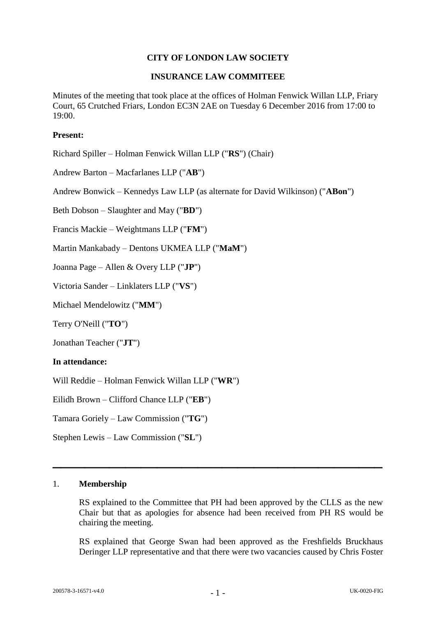# **CITY OF LONDON LAW SOCIETY**

### **INSURANCE LAW COMMITEEE**

Minutes of the meeting that took place at the offices of Holman Fenwick Willan LLP, Friary Court, 65 Crutched Friars, London EC3N 2AE on Tuesday 6 December 2016 from 17:00 to  $19:00.$ 

## **Present:**

Richard Spiller – Holman Fenwick Willan LLP ("**RS**") (Chair)

Andrew Barton – Macfarlanes LLP ("**AB**")

Andrew Bonwick – Kennedys Law LLP (as alternate for David Wilkinson) ("**ABon**")

Beth Dobson – Slaughter and May ("**BD**")

Francis Mackie – Weightmans LLP ("**FM**")

Martin Mankabady – Dentons UKMEA LLP ("**MaM**")

Joanna Page – Allen & Overy LLP ("**JP**")

Victoria Sander – Linklaters LLP ("**VS**")

Michael Mendelowitz ("**MM**")

Terry O'Neill ("**TO**")

Jonathan Teacher ("**JT**")

### **In attendance:**

Will Reddie – Holman Fenwick Willan LLP ("**WR**")

Eilidh Brown – Clifford Chance LLP ("**EB**")

Tamara Goriely – Law Commission ("**TG**")

Stephen Lewis – Law Commission ("**SL**")

#### 1. **Membership**

RS explained to the Committee that PH had been approved by the CLLS as the new Chair but that as apologies for absence had been received from PH RS would be chairing the meeting.

**\_\_\_\_\_\_\_\_\_\_\_\_\_\_\_\_\_\_\_\_\_\_\_\_\_\_\_\_\_\_\_\_\_\_\_\_\_\_\_\_\_**

RS explained that George Swan had been approved as the Freshfields Bruckhaus Deringer LLP representative and that there were two vacancies caused by Chris Foster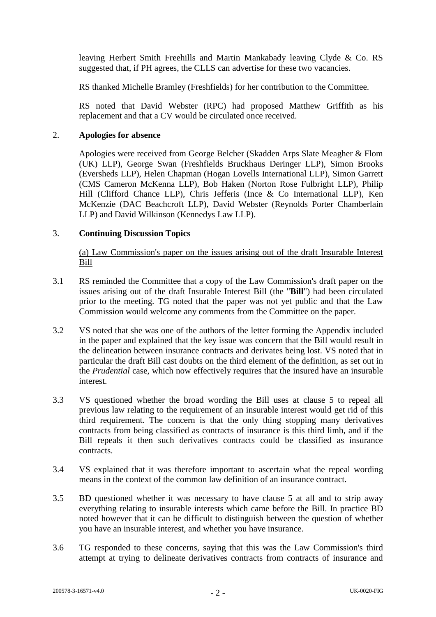leaving Herbert Smith Freehills and Martin Mankabady leaving Clyde & Co. RS suggested that, if PH agrees, the CLLS can advertise for these two vacancies.

RS thanked Michelle Bramley (Freshfields) for her contribution to the Committee.

RS noted that David Webster (RPC) had proposed Matthew Griffith as his replacement and that a CV would be circulated once received.

### 2. **Apologies for absence**

Apologies were received from George Belcher (Skadden Arps Slate Meagher & Flom (UK) LLP), George Swan (Freshfields Bruckhaus Deringer LLP), Simon Brooks (Eversheds LLP), Helen Chapman (Hogan Lovells International LLP), Simon Garrett (CMS Cameron McKenna LLP), Bob Haken (Norton Rose Fulbright LLP), Philip Hill (Clifford Chance LLP), Chris Jefferis (Ince & Co International LLP), Ken McKenzie (DAC Beachcroft LLP), David Webster (Reynolds Porter Chamberlain LLP) and David Wilkinson (Kennedys Law LLP).

### 3. **Continuing Discussion Topics**

(a) Law Commission's paper on the issues arising out of the draft Insurable Interest Bill

- 3.1 RS reminded the Committee that a copy of the Law Commission's draft paper on the issues arising out of the draft Insurable Interest Bill (the "**Bill**") had been circulated prior to the meeting. TG noted that the paper was not yet public and that the Law Commission would welcome any comments from the Committee on the paper.
- 3.2 VS noted that she was one of the authors of the letter forming the Appendix included in the paper and explained that the key issue was concern that the Bill would result in the delineation between insurance contracts and derivates being lost. VS noted that in particular the draft Bill cast doubts on the third element of the definition, as set out in the *Prudential* case, which now effectively requires that the insured have an insurable interest.
- 3.3 VS questioned whether the broad wording the Bill uses at clause 5 to repeal all previous law relating to the requirement of an insurable interest would get rid of this third requirement. The concern is that the only thing stopping many derivatives contracts from being classified as contracts of insurance is this third limb, and if the Bill repeals it then such derivatives contracts could be classified as insurance contracts.
- 3.4 VS explained that it was therefore important to ascertain what the repeal wording means in the context of the common law definition of an insurance contract.
- 3.5 BD questioned whether it was necessary to have clause 5 at all and to strip away everything relating to insurable interests which came before the Bill. In practice BD noted however that it can be difficult to distinguish between the question of whether you have an insurable interest, and whether you have insurance.
- 3.6 TG responded to these concerns, saying that this was the Law Commission's third attempt at trying to delineate derivatives contracts from contracts of insurance and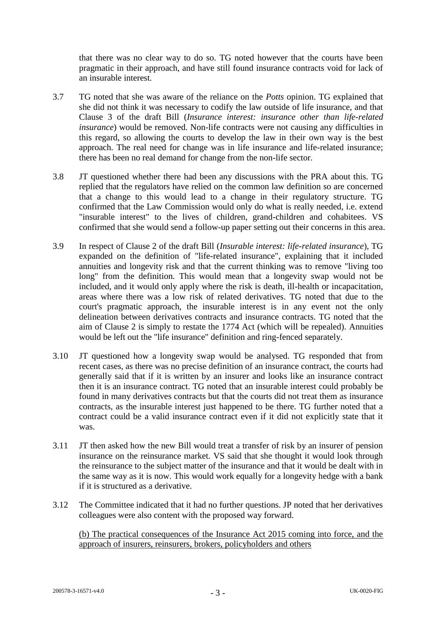that there was no clear way to do so. TG noted however that the courts have been pragmatic in their approach, and have still found insurance contracts void for lack of an insurable interest.

- 3.7 TG noted that she was aware of the reliance on the *Potts* opinion. TG explained that she did not think it was necessary to codify the law outside of life insurance, and that Clause 3 of the draft Bill (*Insurance interest: insurance other than life-related insurance*) would be removed. Non-life contracts were not causing any difficulties in this regard, so allowing the courts to develop the law in their own way is the best approach. The real need for change was in life insurance and life-related insurance; there has been no real demand for change from the non-life sector.
- 3.8 JT questioned whether there had been any discussions with the PRA about this. TG replied that the regulators have relied on the common law definition so are concerned that a change to this would lead to a change in their regulatory structure. TG confirmed that the Law Commission would only do what is really needed, i.e. extend "insurable interest" to the lives of children, grand-children and cohabitees. VS confirmed that she would send a follow-up paper setting out their concerns in this area.
- 3.9 In respect of Clause 2 of the draft Bill (*Insurable interest: life-related insurance*), TG expanded on the definition of "life-related insurance", explaining that it included annuities and longevity risk and that the current thinking was to remove "living too long" from the definition. This would mean that a longevity swap would not be included, and it would only apply where the risk is death, ill-health or incapacitation, areas where there was a low risk of related derivatives. TG noted that due to the court's pragmatic approach, the insurable interest is in any event not the only delineation between derivatives contracts and insurance contracts. TG noted that the aim of Clause 2 is simply to restate the 1774 Act (which will be repealed). Annuities would be left out the "life insurance" definition and ring-fenced separately.
- 3.10 JT questioned how a longevity swap would be analysed. TG responded that from recent cases, as there was no precise definition of an insurance contract, the courts had generally said that if it is written by an insurer and looks like an insurance contract then it is an insurance contract. TG noted that an insurable interest could probably be found in many derivatives contracts but that the courts did not treat them as insurance contracts, as the insurable interest just happened to be there. TG further noted that a contract could be a valid insurance contract even if it did not explicitly state that it was.
- 3.11 JT then asked how the new Bill would treat a transfer of risk by an insurer of pension insurance on the reinsurance market. VS said that she thought it would look through the reinsurance to the subject matter of the insurance and that it would be dealt with in the same way as it is now. This would work equally for a longevity hedge with a bank if it is structured as a derivative.
- 3.12 The Committee indicated that it had no further questions. JP noted that her derivatives colleagues were also content with the proposed way forward.

(b) The practical consequences of the Insurance Act 2015 coming into force, and the approach of insurers, reinsurers, brokers, policyholders and others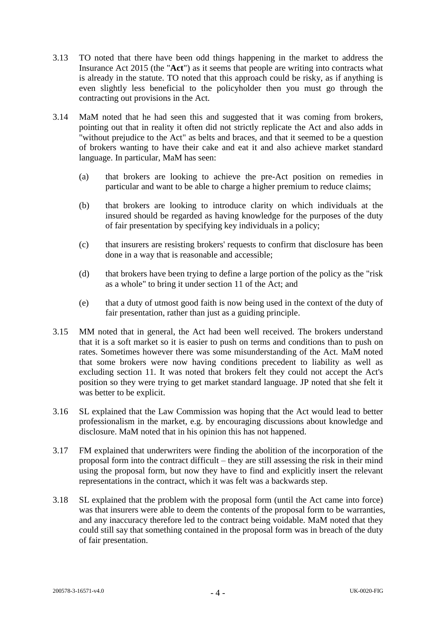- 3.13 TO noted that there have been odd things happening in the market to address the Insurance Act 2015 (the "**Act**") as it seems that people are writing into contracts what is already in the statute. TO noted that this approach could be risky, as if anything is even slightly less beneficial to the policyholder then you must go through the contracting out provisions in the Act.
- 3.14 MaM noted that he had seen this and suggested that it was coming from brokers, pointing out that in reality it often did not strictly replicate the Act and also adds in "without prejudice to the Act" as belts and braces, and that it seemed to be a question of brokers wanting to have their cake and eat it and also achieve market standard language. In particular, MaM has seen:
	- (a) that brokers are looking to achieve the pre-Act position on remedies in particular and want to be able to charge a higher premium to reduce claims;
	- (b) that brokers are looking to introduce clarity on which individuals at the insured should be regarded as having knowledge for the purposes of the duty of fair presentation by specifying key individuals in a policy;
	- (c) that insurers are resisting brokers' requests to confirm that disclosure has been done in a way that is reasonable and accessible;
	- (d) that brokers have been trying to define a large portion of the policy as the "risk as a whole" to bring it under section 11 of the Act; and
	- (e) that a duty of utmost good faith is now being used in the context of the duty of fair presentation, rather than just as a guiding principle.
- 3.15 MM noted that in general, the Act had been well received. The brokers understand that it is a soft market so it is easier to push on terms and conditions than to push on rates. Sometimes however there was some misunderstanding of the Act. MaM noted that some brokers were now having conditions precedent to liability as well as excluding section 11. It was noted that brokers felt they could not accept the Act's position so they were trying to get market standard language. JP noted that she felt it was better to be explicit.
- 3.16 SL explained that the Law Commission was hoping that the Act would lead to better professionalism in the market, e.g. by encouraging discussions about knowledge and disclosure. MaM noted that in his opinion this has not happened.
- 3.17 FM explained that underwriters were finding the abolition of the incorporation of the proposal form into the contract difficult – they are still assessing the risk in their mind using the proposal form, but now they have to find and explicitly insert the relevant representations in the contract, which it was felt was a backwards step.
- 3.18 SL explained that the problem with the proposal form (until the Act came into force) was that insurers were able to deem the contents of the proposal form to be warranties. and any inaccuracy therefore led to the contract being voidable. MaM noted that they could still say that something contained in the proposal form was in breach of the duty of fair presentation.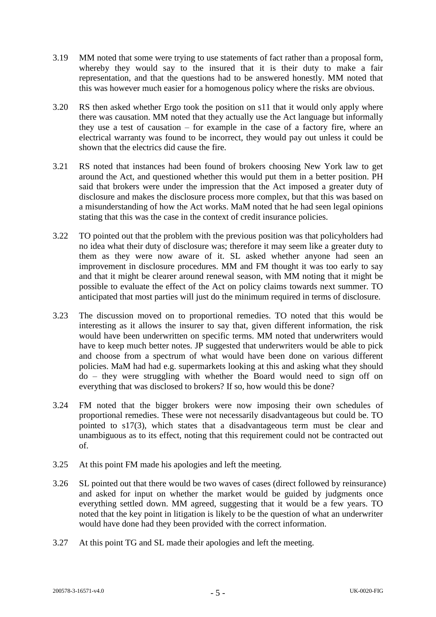- 3.19 MM noted that some were trying to use statements of fact rather than a proposal form, whereby they would say to the insured that it is their duty to make a fair representation, and that the questions had to be answered honestly. MM noted that this was however much easier for a homogenous policy where the risks are obvious.
- 3.20 RS then asked whether Ergo took the position on s11 that it would only apply where there was causation. MM noted that they actually use the Act language but informally they use a test of causation – for example in the case of a factory fire, where an electrical warranty was found to be incorrect, they would pay out unless it could be shown that the electrics did cause the fire.
- 3.21 RS noted that instances had been found of brokers choosing New York law to get around the Act, and questioned whether this would put them in a better position. PH said that brokers were under the impression that the Act imposed a greater duty of disclosure and makes the disclosure process more complex, but that this was based on a misunderstanding of how the Act works. MaM noted that he had seen legal opinions stating that this was the case in the context of credit insurance policies.
- 3.22 TO pointed out that the problem with the previous position was that policyholders had no idea what their duty of disclosure was; therefore it may seem like a greater duty to them as they were now aware of it. SL asked whether anyone had seen an improvement in disclosure procedures. MM and FM thought it was too early to say and that it might be clearer around renewal season, with MM noting that it might be possible to evaluate the effect of the Act on policy claims towards next summer. TO anticipated that most parties will just do the minimum required in terms of disclosure.
- 3.23 The discussion moved on to proportional remedies. TO noted that this would be interesting as it allows the insurer to say that, given different information, the risk would have been underwritten on specific terms. MM noted that underwriters would have to keep much better notes. JP suggested that underwriters would be able to pick and choose from a spectrum of what would have been done on various different policies. MaM had had e.g. supermarkets looking at this and asking what they should do – they were struggling with whether the Board would need to sign off on everything that was disclosed to brokers? If so, how would this be done?
- 3.24 FM noted that the bigger brokers were now imposing their own schedules of proportional remedies. These were not necessarily disadvantageous but could be. TO pointed to s17(3), which states that a disadvantageous term must be clear and unambiguous as to its effect, noting that this requirement could not be contracted out of.
- 3.25 At this point FM made his apologies and left the meeting.
- 3.26 SL pointed out that there would be two waves of cases (direct followed by reinsurance) and asked for input on whether the market would be guided by judgments once everything settled down. MM agreed, suggesting that it would be a few years. TO noted that the key point in litigation is likely to be the question of what an underwriter would have done had they been provided with the correct information.
- 3.27 At this point TG and SL made their apologies and left the meeting.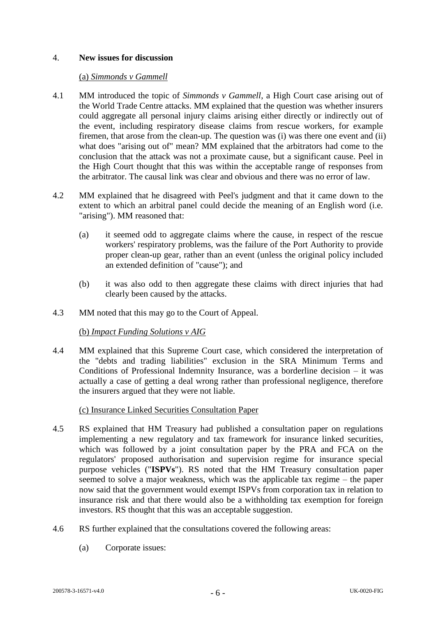## 4. **New issues for discussion**

#### (a) *Simmonds v Gammell*

- 4.1 MM introduced the topic of *Simmonds v Gammell*, a High Court case arising out of the World Trade Centre attacks. MM explained that the question was whether insurers could aggregate all personal injury claims arising either directly or indirectly out of the event, including respiratory disease claims from rescue workers, for example firemen, that arose from the clean-up. The question was (i) was there one event and (ii) what does "arising out of" mean? MM explained that the arbitrators had come to the conclusion that the attack was not a proximate cause, but a significant cause. Peel in the High Court thought that this was within the acceptable range of responses from the arbitrator. The causal link was clear and obvious and there was no error of law.
- 4.2 MM explained that he disagreed with Peel's judgment and that it came down to the extent to which an arbitral panel could decide the meaning of an English word (i.e. "arising"). MM reasoned that:
	- (a) it seemed odd to aggregate claims where the cause, in respect of the rescue workers' respiratory problems, was the failure of the Port Authority to provide proper clean-up gear, rather than an event (unless the original policy included an extended definition of "cause"); and
	- (b) it was also odd to then aggregate these claims with direct injuries that had clearly been caused by the attacks.
- 4.3 MM noted that this may go to the Court of Appeal.

### (b) *Impact Funding Solutions v AIG*

4.4 MM explained that this Supreme Court case, which considered the interpretation of the "debts and trading liabilities" exclusion in the SRA Minimum Terms and Conditions of Professional Indemnity Insurance, was a borderline decision – it was actually a case of getting a deal wrong rather than professional negligence, therefore the insurers argued that they were not liable.

### (c) Insurance Linked Securities Consultation Paper

- 4.5 RS explained that HM Treasury had published a consultation paper on regulations implementing a new regulatory and tax framework for insurance linked securities, which was followed by a joint consultation paper by the PRA and FCA on the regulators' proposed authorisation and supervision regime for insurance special purpose vehicles ("**ISPVs**"). RS noted that the HM Treasury consultation paper seemed to solve a major weakness, which was the applicable tax regime – the paper now said that the government would exempt ISPVs from corporation tax in relation to insurance risk and that there would also be a withholding tax exemption for foreign investors. RS thought that this was an acceptable suggestion.
- 4.6 RS further explained that the consultations covered the following areas:
	- (a) Corporate issues: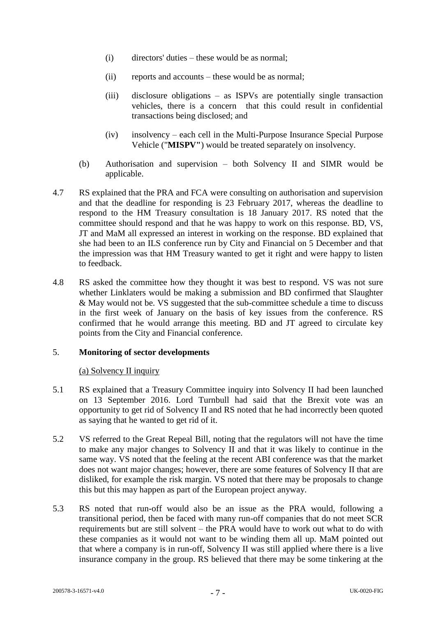- (i) directors' duties these would be as normal;
- (ii) reports and accounts these would be as normal;
- (iii) disclosure obligations as ISPVs are potentially single transaction vehicles, there is a concern that this could result in confidential transactions being disclosed; and
- (iv) insolvency each cell in the Multi-Purpose Insurance Special Purpose Vehicle ("**MISPV"**) would be treated separately on insolvency.
- (b) Authorisation and supervision both Solvency II and SIMR would be applicable.
- 4.7 RS explained that the PRA and FCA were consulting on authorisation and supervision and that the deadline for responding is 23 February 2017, whereas the deadline to respond to the HM Treasury consultation is 18 January 2017. RS noted that the committee should respond and that he was happy to work on this response. BD, VS, JT and MaM all expressed an interest in working on the response. BD explained that she had been to an ILS conference run by City and Financial on 5 December and that the impression was that HM Treasury wanted to get it right and were happy to listen to feedback.
- 4.8 RS asked the committee how they thought it was best to respond. VS was not sure whether Linklaters would be making a submission and BD confirmed that Slaughter & May would not be. VS suggested that the sub-committee schedule a time to discuss in the first week of January on the basis of key issues from the conference. RS confirmed that he would arrange this meeting. BD and JT agreed to circulate key points from the City and Financial conference.

# 5. **Monitoring of sector developments**

### (a) Solvency II inquiry

- 5.1 RS explained that a Treasury Committee inquiry into Solvency II had been launched on 13 September 2016. Lord Turnbull had said that the Brexit vote was an opportunity to get rid of Solvency II and RS noted that he had incorrectly been quoted as saying that he wanted to get rid of it.
- 5.2 VS referred to the Great Repeal Bill, noting that the regulators will not have the time to make any major changes to Solvency II and that it was likely to continue in the same way. VS noted that the feeling at the recent ABI conference was that the market does not want major changes; however, there are some features of Solvency II that are disliked, for example the risk margin. VS noted that there may be proposals to change this but this may happen as part of the European project anyway.
- 5.3 RS noted that run-off would also be an issue as the PRA would, following a transitional period, then be faced with many run-off companies that do not meet SCR requirements but are still solvent – the PRA would have to work out what to do with these companies as it would not want to be winding them all up. MaM pointed out that where a company is in run-off, Solvency II was still applied where there is a live insurance company in the group. RS believed that there may be some tinkering at the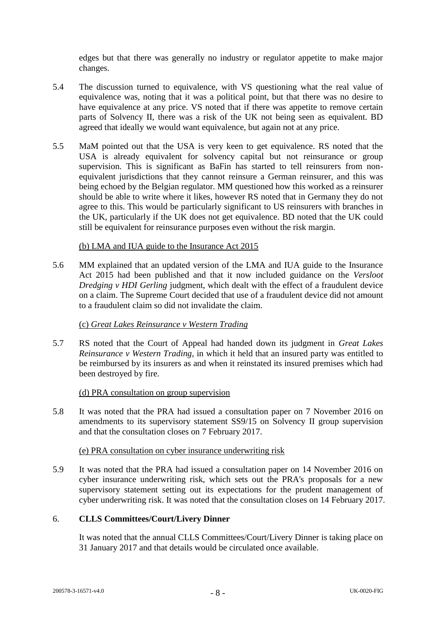edges but that there was generally no industry or regulator appetite to make major changes.

- 5.4 The discussion turned to equivalence, with VS questioning what the real value of equivalence was, noting that it was a political point, but that there was no desire to have equivalence at any price. VS noted that if there was appetite to remove certain parts of Solvency II, there was a risk of the UK not being seen as equivalent. BD agreed that ideally we would want equivalence, but again not at any price.
- 5.5 MaM pointed out that the USA is very keen to get equivalence. RS noted that the USA is already equivalent for solvency capital but not reinsurance or group supervision. This is significant as BaFin has started to tell reinsurers from nonequivalent jurisdictions that they cannot reinsure a German reinsurer, and this was being echoed by the Belgian regulator. MM questioned how this worked as a reinsurer should be able to write where it likes, however RS noted that in Germany they do not agree to this. This would be particularly significant to US reinsurers with branches in the UK, particularly if the UK does not get equivalence. BD noted that the UK could still be equivalent for reinsurance purposes even without the risk margin.

### (b) LMA and IUA guide to the Insurance Act 2015

5.6 MM explained that an updated version of the LMA and IUA guide to the Insurance Act 2015 had been published and that it now included guidance on the *Versloot Dredging v HDI Gerling* judgment, which dealt with the effect of a fraudulent device on a claim. The Supreme Court decided that use of a fraudulent device did not amount to a fraudulent claim so did not invalidate the claim.

# (c) *Great Lakes Reinsurance v Western Trading*

5.7 RS noted that the Court of Appeal had handed down its judgment in *Great Lakes Reinsurance v Western Trading*, in which it held that an insured party was entitled to be reimbursed by its insurers as and when it reinstated its insured premises which had been destroyed by fire.

### (d) PRA consultation on group supervision

5.8 It was noted that the PRA had issued a consultation paper on 7 November 2016 on amendments to its supervisory statement SS9/15 on Solvency II group supervision and that the consultation closes on 7 February 2017.

### (e) PRA consultation on cyber insurance underwriting risk

5.9 It was noted that the PRA had issued a consultation paper on 14 November 2016 on cyber insurance underwriting risk, which sets out the PRA's proposals for a new supervisory statement setting out its expectations for the prudent management of cyber underwriting risk. It was noted that the consultation closes on 14 February 2017.

# 6. **CLLS Committees/Court/Livery Dinner**

It was noted that the annual CLLS Committees/Court/Livery Dinner is taking place on 31 January 2017 and that details would be circulated once available.